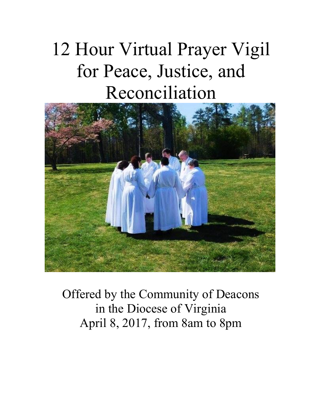# 12 Hour Virtual Prayer Vigil for Peace, Justice, and Reconciliation



Offered by the Community of Deacons in the Diocese of Virginia April 8, 2017, from 8am to 8pm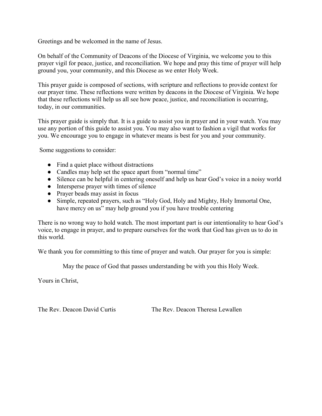Greetings and be welcomed in the name of Jesus.

On behalf of the Community of Deacons of the Diocese of Virginia, we welcome you to this prayer vigil for peace, justice, and reconciliation. We hope and pray this time of prayer will help ground you, your community, and this Diocese as we enter Holy Week.

This prayer guide is composed of sections, with scripture and reflections to provide context for our prayer time. These reflections were written by deacons in the Diocese of Virginia. We hope that these reflections will help us all see how peace, justice, and reconciliation is occurring, today, in our communities.

This prayer guide is simply that. It is a guide to assist you in prayer and in your watch. You may use any portion of this guide to assist you. You may also want to fashion a vigil that works for you. We encourage you to engage in whatever means is best for you and your community.

Some suggestions to consider:

- Find a quiet place without distractions
- Candles may help set the space apart from "normal time"
- Silence can be helpful in centering oneself and help us hear God's voice in a noisy world
- Intersperse prayer with times of silence
- Prayer beads may assist in focus
- Simple, repeated prayers, such as "Holy God, Holy and Mighty, Holy Immortal One, have mercy on us" may help ground you if you have trouble centering

There is no wrong way to hold watch. The most important part is our intentionality to hear God's voice, to engage in prayer, and to prepare ourselves for the work that God has given us to do in this world.

We thank you for committing to this time of prayer and watch. Our prayer for you is simple:

May the peace of God that passes understanding be with you this Holy Week.

Yours in Christ,

The Rev. Deacon David Curtis The Rev. Deacon Theresa Lewallen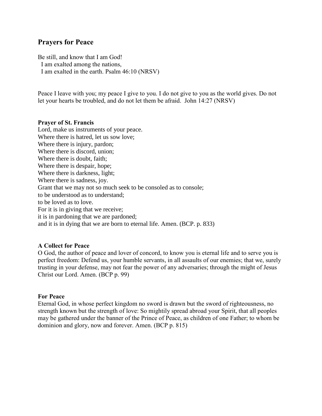# **Prayers for Peace**

Be still, and know that I am God! I am exalted among the nations, I am exalted in the earth. Psalm 46:10 (NRSV)

Peace I leave with you; my peace I give to you. I do not give to you as the world gives. Do not let your hearts be troubled, and do not let them be afraid. John 14:27 (NRSV)

#### **Prayer of St. Francis**

Lord, make us instruments of your peace. Where there is hatred, let us sow love; Where there is injury, pardon; Where there is discord, union; Where there is doubt, faith; Where there is despair, hope; Where there is darkness, light; Where there is sadness, joy. Grant that we may not so much seek to be consoled as to console; to be understood as to understand; to be loved as to love. For it is in giving that we receive; it is in pardoning that we are pardoned; and it is in dying that we are born to eternal life. Amen. (BCP. p. 833)

#### **A Collect for Peace**

O God, the author of peace and lover of concord, to know you is eternal life and to serve you is perfect freedom: Defend us, your humble servants, in all assaults of our enemies; that we, surely trusting in your defense, may not fear the power of any adversaries; through the might of Jesus Christ our Lord. Amen. (BCP p. 99)

#### **For Peace**

Eternal God, in whose perfect kingdom no sword is drawn but the sword of righteousness, no strength known but the strength of love: So mightily spread abroad your Spirit, that all peoples may be gathered under the banner of the Prince of Peace, as children of one Father; to whom be dominion and glory, now and forever. Amen. (BCP p. 815)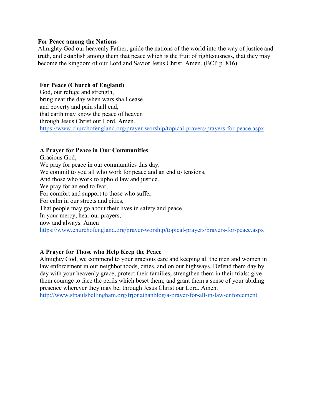#### **For Peace among the Nations**

Almighty God our heavenly Father, guide the nations of the world into the way of justice and truth, and establish among them that peace which is the fruit of righteousness, that they may become the kingdom of our Lord and Savior Jesus Christ. Amen. (BCP p. 816)

### **For Peace (Church of England)**

God, our refuge and strength, bring near the day when wars shall cease and poverty and pain shall end, that earth may know the peace of heaven through Jesus Christ our Lord. Amen. <https://www.churchofengland.org/prayer-worship/topical-prayers/prayers-for-peace.aspx>

## **A Prayer for Peace in Our Communities**

Gracious God, We pray for peace in our communities this day. We commit to you all who work for peace and an end to tensions, And those who work to uphold law and justice. We pray for an end to fear, For comfort and support to those who suffer. For calm in our streets and cities, That people may go about their lives in safety and peace. In your mercy, hear our prayers, now and always. Amen <https://www.churchofengland.org/prayer-worship/topical-prayers/prayers-for-peace.aspx>

# **A Prayer for Those who Help Keep the Peace**

Almighty God, we commend to your gracious care and keeping all the men and women in law enforcement in our neighborhoods, cities, and on our highways. Defend them day by day with your heavenly grace; protect their families; strengthen them in their trials; give them courage to face the perils which beset them; and grant them a sense of your abiding presence wherever they may be; through Jesus Christ our Lord. Amen. <http://www.stpaulsbellingham.org/frjonathanblog/a-prayer-for-all-in-law-enforcement>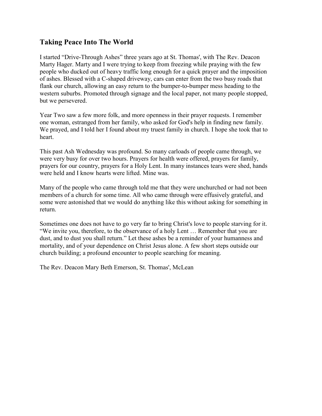# **Taking Peace Into The World**

I started "Drive-Through Ashes" three years ago at St. Thomas', with The Rev. Deacon Marty Hager. Marty and I were trying to keep from freezing while praying with the few people who ducked out of heavy traffic long enough for a quick prayer and the imposition of ashes. Blessed with a C-shaped driveway, cars can enter from the two busy roads that flank our church, allowing an easy return to the bumper-to-bumper mess heading to the western suburbs. Promoted through signage and the local paper, not many people stopped, but we persevered.

Year Two saw a few more folk, and more openness in their prayer requests. I remember one woman, estranged from her family, who asked for God's help in finding new family. We prayed, and I told her I found about my truest family in church. I hope she took that to heart.

This past Ash Wednesday was profound. So many carloads of people came through, we were very busy for over two hours. Prayers for health were offered, prayers for family, prayers for our country, prayers for a Holy Lent. In many instances tears were shed, hands were held and I know hearts were lifted. Mine was.

Many of the people who came through told me that they were unchurched or had not been members of a church for some time. All who came through were effusively grateful, and some were astonished that we would do anything like this without asking for something in return.

Sometimes one does not have to go very far to bring Christ's love to people starving for it. "We invite you, therefore, to the observance of a holy Lent … Remember that you are dust, and to dust you shall return." Let these ashes be a reminder of your humanness and mortality, and of your dependence on Christ Jesus alone. A few short steps outside our church building; a profound encounter to people searching for meaning.

The Rev. Deacon Mary Beth Emerson, St. Thomas', McLean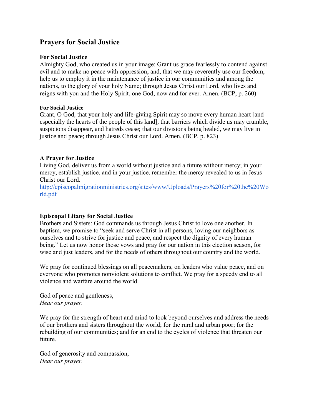# **Prayers for Social Justice**

### **For Social Justice**

Almighty God, who created us in your image: Grant us grace fearlessly to contend against evil and to make no peace with oppression; and, that we may reverently use our freedom, help us to employ it in the maintenance of justice in our communities and among the nations, to the glory of your holy Name; through Jesus Christ our Lord, who lives and reigns with you and the Holy Spirit, one God, now and for ever. Amen. (BCP, p. 260)

#### **For Social Justice**

Grant, O God, that your holy and life-giving Spirit may so move every human heart [and especially the hearts of the people of this land], that barriers which divide us may crumble, suspicions disappear, and hatreds cease; that our divisions being healed, we may live in justice and peace; through Jesus Christ our Lord. Amen. (BCP, p. 823)

## **A Prayer for Justice**

Living God, deliver us from a world without justice and a future without mercy; in your mercy, establish justice, and in your justice, remember the mercy revealed to us in Jesus Christ our Lord.

[http://episcopalmigrationministries.org/sites/www/Uploads/Prayers%20for%20the%20Wo](http://episcopalmigrationministries.org/sites/www/Uploads/Prayers%20for%20the%20World.pdf) [rld.pdf](http://episcopalmigrationministries.org/sites/www/Uploads/Prayers%20for%20the%20World.pdf)

# **Episcopal Litany for Social Justice**

Brothers and Sisters: God commands us through Jesus Christ to love one another. In baptism, we promise to "seek and serve Christ in all persons, loving our neighbors as ourselves and to strive for justice and peace, and respect the dignity of every human being." Let us now honor those vows and pray for our nation in this election season, for wise and just leaders, and for the needs of others throughout our country and the world.

We pray for continued blessings on all peacemakers, on leaders who value peace, and on everyone who promotes nonviolent solutions to conflict. We pray for a speedy end to all violence and warfare around the world.

God of peace and gentleness, *Hear our prayer.*

We pray for the strength of heart and mind to look beyond ourselves and address the needs of our brothers and sisters throughout the world; for the rural and urban poor; for the rebuilding of our communities; and for an end to the cycles of violence that threaten our future.

God of generosity and compassion, *Hear our prayer.*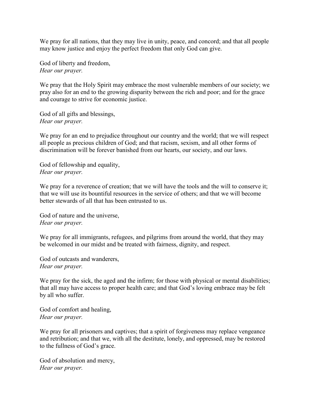We pray for all nations, that they may live in unity, peace, and concord; and that all people may know justice and enjoy the perfect freedom that only God can give.

God of liberty and freedom, *Hear our prayer.*

We pray that the Holy Spirit may embrace the most vulnerable members of our society; we pray also for an end to the growing disparity between the rich and poor; and for the grace and courage to strive for economic justice.

God of all gifts and blessings, *Hear our prayer.*

We pray for an end to prejudice throughout our country and the world; that we will respect all people as precious children of God; and that racism, sexism, and all other forms of discrimination will be forever banished from our hearts, our society, and our laws.

God of fellowship and equality, *Hear our prayer.*

We pray for a reverence of creation; that we will have the tools and the will to conserve it; that we will use its bountiful resources in the service of others; and that we will become better stewards of all that has been entrusted to us.

God of nature and the universe, *Hear our prayer.*

We pray for all immigrants, refugees, and pilgrims from around the world, that they may be welcomed in our midst and be treated with fairness, dignity, and respect.

God of outcasts and wanderers, *Hear our prayer.*

We pray for the sick, the aged and the infirm; for those with physical or mental disabilities; that all may have access to proper health care; and that God's loving embrace may be felt by all who suffer.

God of comfort and healing, *Hear our prayer.*

We pray for all prisoners and captives; that a spirit of forgiveness may replace vengeance and retribution; and that we, with all the destitute, lonely, and oppressed, may be restored to the fullness of God's grace.

God of absolution and mercy, *Hear our prayer.*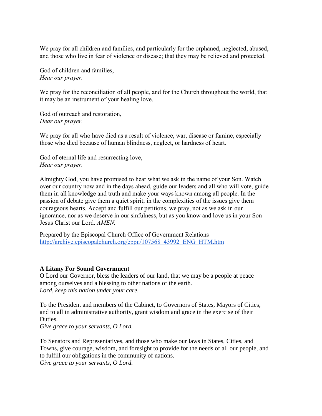We pray for all children and families, and particularly for the orphaned, neglected, abused, and those who live in fear of violence or disease; that they may be relieved and protected.

God of children and families, *Hear our prayer.*

We pray for the reconciliation of all people, and for the Church throughout the world, that it may be an instrument of your healing love.

God of outreach and restoration, *Hear our prayer.*

We pray for all who have died as a result of violence, war, disease or famine, especially those who died because of human blindness, neglect, or hardness of heart.

God of eternal life and resurrecting love, *Hear our prayer.*

Almighty God, you have promised to hear what we ask in the name of your Son. Watch over our country now and in the days ahead, guide our leaders and all who will vote, guide them in all knowledge and truth and make your ways known among all people. In the passion of debate give them a quiet spirit; in the complexities of the issues give them courageous hearts. Accept and fulfill our petitions, we pray, not as we ask in our ignorance, nor as we deserve in our sinfulness, but as you know and love us in your Son Jesus Christ our Lord. *AMEN.*

Prepared by the Episcopal Church Office of Government Relations [http://archive.episcopalchurch.org/eppn/107568\\_43992\\_ENG\\_HTM.htm](http://archive.episcopalchurch.org/eppn/107568_43992_ENG_HTM.htm)

#### **A Litany For Sound Government**

O Lord our Governor, bless the leaders of our land, that we may be a people at peace among ourselves and a blessing to other nations of the earth. *Lord, keep this nation under your care.*

To the President and members of the Cabinet, to Governors of States, Mayors of Cities, and to all in administrative authority, grant wisdom and grace in the exercise of their Duties.

*Give grace to your servants, O Lord.*

To Senators and Representatives, and those who make our laws in States, Cities, and Towns, give courage, wisdom, and foresight to provide for the needs of all our people, and to fulfill our obligations in the community of nations. *Give grace to your servants, O Lord.*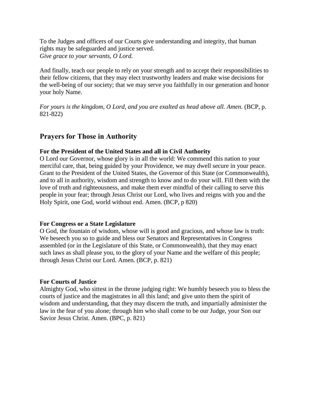To the Judges and officers of our Courts give understanding and integrity, that human rights may be safeguarded and justice served. *Give grace to your servants, O Lord.*

And finally, teach our people to rely on your strength and to accept their responsibilities to their fellow citizens, that they may elect trustworthy leaders and make wise decisions for the well-being of our society; that we may serve you faithfully in our generation and honor your holy Name.

*For yours is the kingdom, O Lord, and you are exalted as head above all. Amen.* (BCP, p. 821-822)

# **Prayers for Those in Authority**

## **For the President of the United States and all in Civil Authority**

O Lord our Governor, whose glory is in all the world: We commend this nation to your merciful care, that, being guided by your Providence, we may dwell secure in your peace. Grant to the President of the United States, the Governor of this State (or Commonwealth), and to all in authority, wisdom and strength to know and to do your will. Fill them with the love of truth and righteousness, and make them ever mindful of their calling to serve this people in your fear; through Jesus Christ our Lord, who lives and reigns with you and the Holy Spirit, one God, world without end. Amen. (BCP, p 820)

#### **For Congress or a State Legislature**

O God, the fountain of wisdom, whose will is good and gracious, and whose law is truth: We beseech you so to guide and bless our Senators and Representatives in Congress assembled (or in the Legislature of this State, or Commonwealth), that they may enact such laws as shall please you, to the glory of your Name and the welfare of this people; through Jesus Christ our Lord. Amen. (BCP, p. 821)

#### **For Courts of Justice**

Almighty God, who sittest in the throne judging right: We humbly beseech you to bless the courts of justice and the magistrates in all this land; and give unto them the spirit of wisdom and understanding, that they may discern the truth, and impartially administer the law in the fear of you alone; through him who shall come to be our Judge, your Son our Savior Jesus Christ. Amen. (BPC, p. 821)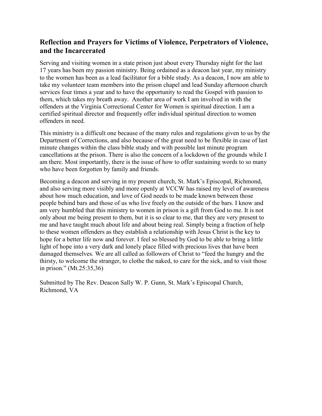# **Reflection and Prayers for Victims of Violence, Perpetrators of Violence, and the Incarcerated**

Serving and visiting women in a state prison just about every Thursday night for the last 17 years has been my passion ministry. Being ordained as a deacon last year, my ministry to the women has been as a lead facilitator for a bible study. As a deacon, I now am able to take my volunteer team members into the prison chapel and lead Sunday afternoon church services four times a year and to have the opportunity to read the Gospel with passion to them, which takes my breath away. Another area of work I am involved in with the offenders at the Virginia Correctional Center for Women is spiritual direction. I am a certified spiritual director and frequently offer individual spiritual direction to women offenders in need.

This ministry is a difficult one because of the many rules and regulations given to us by the Department of Corrections, and also because of the great need to be flexible in case of last minute changes within the class bible study and with possible last minute program cancellations at the prison. There is also the concern of a lockdown of the grounds while I am there. Most importantly, there is the issue of how to offer sustaining words to so many who have been forgotten by family and friends.

Becoming a deacon and serving in my present church, St. Mark's Episcopal, Richmond, and also serving more visibly and more openly at VCCW has raised my level of awareness about how much education, and love of God needs to be made known between those people behind bars and those of us who live freely on the outside of the bars. I know and am very humbled that this ministry to women in prison is a gift from God to me. It is not only about me being present to them, but it is so clear to me, that they are very present to me and have taught much about life and about being real. Simply being a fraction of help to these women offenders as they establish a relationship with Jesus Christ is the key to hope for a better life now and forever. I feel so blessed by God to be able to bring a little light of hope into a very dark and lonely place filled with precious lives that have been damaged themselves. We are all called as followers of Christ to "feed the hungry and the thirsty, to welcome the stranger, to clothe the naked, to care for the sick, and to visit those in prison." (Mt.25:35,36)

Submitted by The Rev. Deacon Sally W. P. Gunn, St. Mark's Episcopal Church, Richmond, VA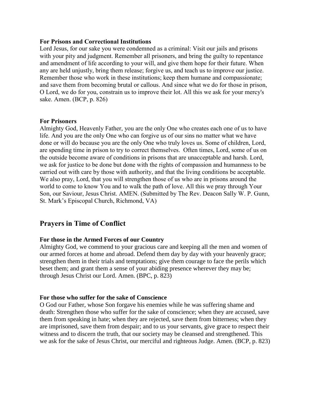#### **For Prisons and Correctional Institutions**

Lord Jesus, for our sake you were condemned as a criminal: Visit our jails and prisons with your pity and judgment. Remember all prisoners, and bring the guilty to repentance and amendment of life according to your will, and give them hope for their future. When any are held unjustly, bring them release; forgive us, and teach us to improve our justice. Remember those who work in these institutions; keep them humane and compassionate; and save them from becoming brutal or callous. And since what we do for those in prison, O Lord, we do for you, constrain us to improve their lot. All this we ask for your mercy's sake. Amen. (BCP, p. 826)

#### **For Prisoners**

Almighty God, Heavenly Father, you are the only One who creates each one of us to have life. And you are the only One who can forgive us of our sins no matter what we have done or will do because you are the only One who truly loves us. Some of children, Lord, are spending time in prison to try to correct themselves. Often times, Lord, some of us on the outside become aware of conditions in prisons that are unacceptable and harsh. Lord, we ask for justice to be done but done with the rights of compassion and humanness to be carried out with care by those with authority, and that the living conditions be acceptable. We also pray, Lord, that you will strengthen those of us who are in prisons around the world to come to know You and to walk the path of love. All this we pray through Your Son, our Saviour, Jesus Christ. AMEN. (Submitted by The Rev. Deacon Sally W. P. Gunn, St. Mark's Episcopal Church, Richmond, VA)

# **Prayers in Time of Conflict**

#### **For those in the Armed Forces of our Country**

Almighty God, we commend to your gracious care and keeping all the men and women of our armed forces at home and abroad. Defend them day by day with your heavenly grace; strengthen them in their trials and temptations; give them courage to face the perils which beset them; and grant them a sense of your abiding presence wherever they may be; through Jesus Christ our Lord. Amen. (BPC, p. 823)

#### **For those who suffer for the sake of Conscience**

O God our Father, whose Son forgave his enemies while he was suffering shame and death: Strengthen those who suffer for the sake of conscience; when they are accused, save them from speaking in hate; when they are rejected, save them from bitterness; when they are imprisoned, save them from despair; and to us your servants, give grace to respect their witness and to discern the truth, that our society may be cleansed and strengthened. This we ask for the sake of Jesus Christ, our merciful and righteous Judge. Amen*.* (BCP, p. 823)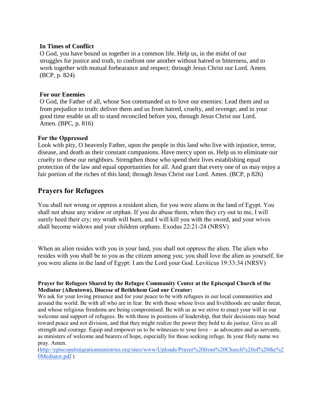#### **In Times of Conflict**

O God, you have bound us together in a common life. Help us, in the midst of our struggles for justice and truth, to confront one another without hatred or bitterness, and to work together with mutual forbearance and respect; through Jesus Christ our Lord. Amen. (BCP, p. 824)

#### **For our Enemies**

O God, the Father of all, whose Son commanded us to love our enemies: Lead them and us from prejudice to truth: deliver them and us from hatred, cruelty, and revenge; and in your good time enable us all to stand reconciled before you, through Jesus Christ our Lord. Amen. (BPC, p. 816)

#### **For the Oppressed**

Look with pity, O heavenly Father, upon the people in this land who live with injustice, terror, disease, and death as their constant companions. Have mercy upon us. Help us to eliminate our cruelty to these our neighbors. Strengthen those who spend their lives establishing equal protection of the law and equal opportunities for all. And grant that every one of us may enjoy a fair portion of the riches of this land; through Jesus Christ our Lord. Amen. (BCP, p 826)

# **Prayers for Refugees**

You shall not wrong or oppress a resident alien, for you were aliens in the land of Egypt. You shall not abuse any widow or orphan. If you do abuse them, when they cry out to me, I will surely heed their cry; my wrath will burn, and I will kill you with the sword, and your wives shall become widows and your children orphans. Exodus 22:21-24 (NRSV)

When an alien resides with you in your land, you shall not oppress the alien. The alien who resides with you shall be to you as the citizen among you; you shall love the alien as yourself, for you were aliens in the land of Egypt: I am the Lord your God. Leviticus 19:33:34 (NRSV)

#### **Prayer for Refugees Shared by the Refugee Community Center at the Episcopal Church of the Mediator (Allentown), Diocese of Bethlehem God our Creator:**

We ask for your loving presence and for your peace to be with refugees in our local communities and around the world. Be with all who are in fear. Be with those whose lives and livelihoods are under threat, and whose religious freedoms are being compromised. Be with us as we strive to enact your will in our welcome and support of refugees. Be with those in positions of leadership, that their decisions may bend toward peace and not division, and that they might realize the power they hold to do justice. Give us all strength and courage. Equip and empower us to be witnesses to your love – as advocates and as servants, as ministers of welcome and bearers of hope, especially for those seeking refuge. In your Holy name we pray. Amen.

[\(http://episcopalmigrationministries.org/sites/www/Uploads/Prayer%20from%20Church%20of%20the%2](http://episcopalmigrationministries.org/sites/www/Uploads/Prayer%20from%20Church%20of%20the%20Mediator.pdf) [0Mediator.pdf](http://episcopalmigrationministries.org/sites/www/Uploads/Prayer%20from%20Church%20of%20the%20Mediator.pdf) )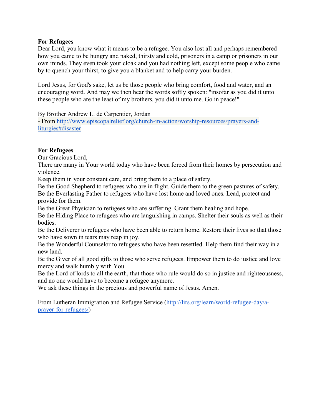## **For Refugees**

Dear Lord, you know what it means to be a refugee. You also lost all and perhaps remembered how you came to be hungry and naked, thirsty and cold, prisoners in a camp or prisoners in our own minds. They even took your cloak and you had nothing left, except some people who came by to quench your thirst, to give you a blanket and to help carry your burden.

Lord Jesus, for God's sake, let us be those people who bring comfort, food and water, and an encouraging word. And may we then hear the words softly spoken: "insofar as you did it unto these people who are the least of my brothers, you did it unto me. Go in peace!"

## By Brother Andrew L. de Carpentier, Jordan

- From [http://www.episcopalrelief.org/church-in-action/worship-resources/prayers-and](http://www.episcopalrelief.org/church-in-action/worship-resources/prayers-and-liturgies#disaster)[liturgies#disaster](http://www.episcopalrelief.org/church-in-action/worship-resources/prayers-and-liturgies#disaster)

# **For Refugees**

Our Gracious Lord,

There are many in Your world today who have been forced from their homes by persecution and violence.

Keep them in your constant care, and bring them to a place of safety.

Be the Good Shepherd to refugees who are in flight. Guide them to the green pastures of safety. Be the Everlasting Father to refugees who have lost home and loved ones. Lead, protect and provide for them.

Be the Great Physician to refugees who are suffering. Grant them healing and hope.

Be the Hiding Place to refugees who are languishing in camps. Shelter their souls as well as their bodies.

Be the Deliverer to refugees who have been able to return home. Restore their lives so that those who have sown in tears may reap in joy.

Be the Wonderful Counselor to refugees who have been resettled. Help them find their way in a new land.

Be the Giver of all good gifts to those who serve refugees. Empower them to do justice and love mercy and walk humbly with You.

Be the Lord of lords to all the earth, that those who rule would do so in justice and righteousness, and no one would have to become a refugee anymore.

We ask these things in the precious and powerful name of Jesus. Amen.

From Lutheran Immigration and Refugee Service [\(http://lirs.org/learn/world-refugee-day/a](http://lirs.org/learn/world-refugee-day/a-prayer-for-refugees/)[prayer-for-refugees/\)](http://lirs.org/learn/world-refugee-day/a-prayer-for-refugees/)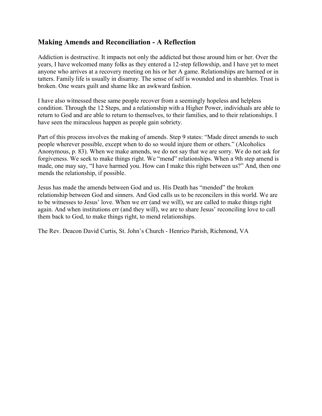# **Making Amends and Reconciliation - A Reflection**

Addiction is destructive. It impacts not only the addicted but those around him or her. Over the years, I have welcomed many folks as they entered a 12-step fellowship, and I have yet to meet anyone who arrives at a recovery meeting on his or her A game. Relationships are harmed or in tatters. Family life is usually in disarray. The sense of self is wounded and in shambles. Trust is broken. One wears guilt and shame like an awkward fashion.

I have also witnessed these same people recover from a seemingly hopeless and helpless condition. Through the 12 Steps, and a relationship with a Higher Power, individuals are able to return to God and are able to return to themselves, to their families, and to their relationships. I have seen the miraculous happen as people gain sobriety.

Part of this process involves the making of amends. Step 9 states: "Made direct amends to such people wherever possible, except when to do so would injure them or others." (Alcoholics Anonymous, p. 83). When we make amends, we do not say that we are sorry. We do not ask for forgiveness. We seek to make things right. We "mend" relationships. When a 9th step amend is made, one may say, "I have harmed you. How can I make this right between us?" And, then one mends the relationship, if possible.

Jesus has made the amends between God and us. His Death has "mended" the broken relationship between God and sinners. And God calls us to be reconcilers in this world. We are to be witnesses to Jesus' love. When we err (and we will), we are called to make things right again. And when institutions err (and they will), we are to share Jesus' reconciling love to call them back to God, to make things right, to mend relationships.

The Rev. Deacon David Curtis, St. John's Church - Henrico Parish, Richmond, VA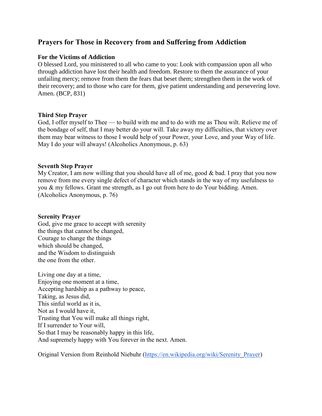# **Prayers for Those in Recovery from and Suffering from Addiction**

#### **For the Victims of Addiction**

O blessed Lord, you ministered to all who came to you: Look with compassion upon all who through addiction have lost their health and freedom. Restore to them the assurance of your unfailing mercy; remove from them the fears that beset them; strengthen them in the work of their recovery; and to those who care for them, give patient understanding and persevering love. Amen. (BCP, 831)

#### **Third Step Prayer**

God, I offer myself to Thee — to build with me and to do with me as Thou wilt. Relieve me of the bondage of self, that I may better do your will. Take away my difficulties, that victory over them may bear witness to those I would help of your Power, your Love, and your Way of life. May I do your will always! (Alcoholics Anonymous, p. 63)

#### **Seventh Step Prayer**

My Creator, I am now willing that you should have all of me, good & bad. I pray that you now remove from me every single defect of character which stands in the way of my usefulness to you & my fellows. Grant me strength, as I go out from here to do Your bidding. Amen. (Alcoholics Anonymous, p. 76)

#### **Serenity Prayer**

God, give me grace to accept with serenity the things that cannot be changed, Courage to change the things which should be changed, and the Wisdom to distinguish the one from the other.

Living one day at a time, Enjoying one moment at a time, Accepting hardship as a pathway to peace, Taking, as Jesus did, This sinful world as it is, Not as I would have it, Trusting that You will make all things right, If I surrender to Your will, So that I may be reasonably happy in this life, And supremely happy with You forever in the next. Amen.

Original Version from Reinhold Niebuhr [\(https://en.wikipedia.org/wiki/Serenity\\_Prayer\)](https://en.wikipedia.org/wiki/Serenity_Prayer)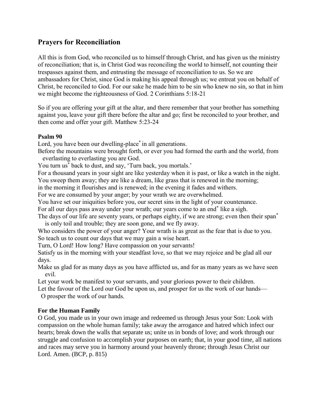# **Prayers for Reconciliation**

All this is from God, who reconciled us to himself through Christ, and has given us the ministry of reconciliation; that is, in Christ God was reconciling the world to himself, not counting their trespasses against them, and entrusting the message of reconciliation to us. So we are ambassadors for Christ, since God is making his appeal through us; we entreat you on behalf of Christ, be reconciled to God. For our sake he made him to be sin who knew no sin, so that in him we might become the righteousness of God. 2 Corinthians 5:18-21

So if you are offering your gift at the altar, and there remember that your brother has something against you, leave your gift there before the altar and go; first be reconciled to your brother, and then come and offer your gift. Matthew 5:23-24

#### **Psalm 90**

Lord, you have been our dwelling-place<sup>\*</sup> in all generations.

Before the mountains were brought forth, or ever you had formed the earth and the world, from everlasting to everlasting you are God.

You turn us\* back to dust, and say, 'Turn back, you mortals.'

For a thousand years in your sight are like yesterday when it is past, or like a watch in the night. You sweep them away; they are like a dream, like grass that is renewed in the morning;

in the morning it flourishes and is renewed; in the evening it fades and withers.

For we are consumed by your anger; by your wrath we are overwhelmed.

You have set our iniquities before you, our secret sins in the light of your countenance.

For all our days pass away under your wrath; our years come to an end\* like a sigh.

The days of our life are seventy years, or perhaps eighty, if we are strong; even then their span<sup>\*</sup> is only toil and trouble; they are soon gone, and we fly away.

Who considers the power of your anger? Your wrath is as great as the fear that is due to you. So teach us to count our days that we may gain a wise heart.

Turn, O Lord! How long? Have compassion on your servants!

Satisfy us in the morning with your steadfast love, so that we may rejoice and be glad all our days.

Make us glad for as many days as you have afflicted us, and for as many years as we have seen evil.

Let your work be manifest to your servants, and your glorious power to their children.

Let the favour of the Lord our God be upon us, and prosper for us the work of our hands— O prosper the work of our hands.

# **For the Human Family**

O God, you made us in your own image and redeemed us through Jesus your Son: Look with compassion on the whole human family; take away the arrogance and hatred which infect our hearts; break down the walls that separate us; unite us in bonds of love; and work through our struggle and confusion to accomplish your purposes on earth; that, in your good time, all nations and races may serve you in harmony around your heavenly throne; through Jesus Christ our Lord. Amen. (BCP, p. 815)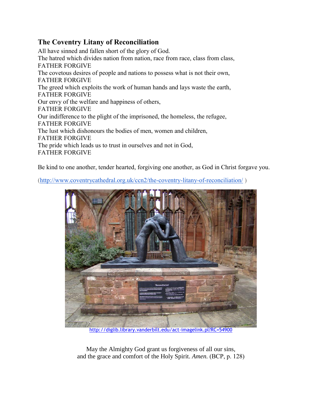# **The Coventry Litany of Reconciliation**

All have sinned and fallen short of the glory of God. The hatred which divides nation from nation, race from race, class from class, FATHER FORGIVE The covetous desires of people and nations to possess what is not their own, FATHER FORGIVE The greed which exploits the work of human hands and lays waste the earth, FATHER FORGIVE Our envy of the welfare and happiness of others, FATHER FORGIVE Our indifference to the plight of the imprisoned, the homeless, the refugee, FATHER FORGIVE The lust which dishonours the bodies of men, women and children, FATHER FORGIVE The pride which leads us to trust in ourselves and not in God, FATHER FORGIVE

Be kind to one another, tender hearted, forgiving one another, as God in Christ forgave you.

[\(http://www.coventrycathedral.org.uk/ccn2/the-coventry-litany-of-reconciliation/](http://www.coventrycathedral.org.uk/ccn2/the-coventry-litany-of-reconciliation/) )



<http://diglib.library.vanderbilt.edu/act-imagelink.pl?RC=54900>

May the Almighty God grant us forgiveness of all our sins, and the grace and comfort of the Holy Spirit. *Amen.* (BCP, p. 128)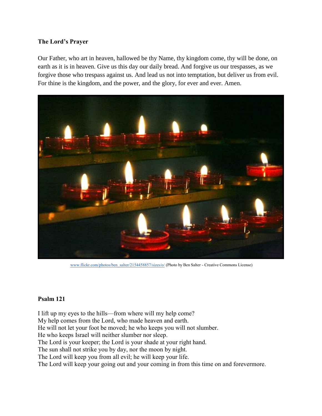# **The Lord's Prayer**

Our Father, who art in heaven, hallowed be thy Name, thy kingdom come, thy will be done, on earth as it is in heaven. Give us this day our daily bread. And forgive us our trespasses, as we forgive those who trespass against us. And lead us not into temptation, but deliver us from evil. For thine is the kingdom, and the power, and the glory, for ever and ever. Amen.



[www.flickr.com/photos/ben\\_salter/2154458857/sizes/o/](http://www.flickr.com/photos/ben_salter/2154458857/sizes/o/) (Photo by Ben Salter - Creative Commons License)

#### **Psalm 121**

I lift up my eyes to the hills—from where will my help come? My help comes from the Lord, who made heaven and earth. He will not let your foot be moved; he who keeps you will not slumber. He who keeps Israel will neither slumber nor sleep. The Lord is your keeper; the Lord is your shade at your right hand. The sun shall not strike you by day, nor the moon by night. The Lord will keep you from all evil; he will keep your life. The Lord will keep your going out and your coming in from this time on and forevermore.